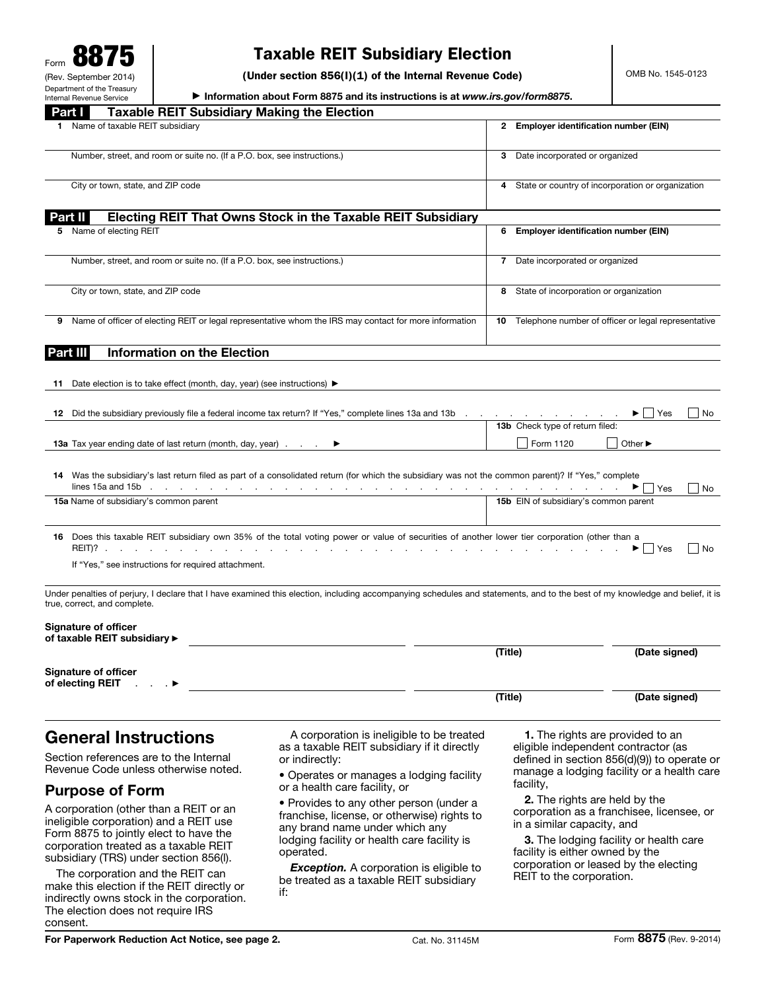## Taxable REIT Subsidiary Election

(Under section 856(I)(1) of the Internal Revenue Code)

▶ Information about Form 8875 and its instructions is at *www.irs.gov/form8875*.

| <b>Taxable REIT Subsidiary Making the Election</b><br>Part I                                                                                                                                                 |                                                        |                                       |  |
|--------------------------------------------------------------------------------------------------------------------------------------------------------------------------------------------------------------|--------------------------------------------------------|---------------------------------------|--|
| Name of taxable REIT subsidiary                                                                                                                                                                              | 2 Employer identification number (EIN)                 |                                       |  |
| Number, street, and room or suite no. (If a P.O. box, see instructions.)                                                                                                                                     | 3 Date incorporated or organized                       |                                       |  |
| City or town, state, and ZIP code                                                                                                                                                                            | 4 State or country of incorporation or organization    |                                       |  |
| Electing REIT That Owns Stock in the Taxable REIT Subsidiary<br>Part II                                                                                                                                      |                                                        |                                       |  |
| 5 Name of electing REIT                                                                                                                                                                                      | 6 Employer identification number (EIN)                 |                                       |  |
| Number, street, and room or suite no. (If a P.O. box, see instructions.)                                                                                                                                     | 7 Date incorporated or organized                       |                                       |  |
| City or town, state, and ZIP code                                                                                                                                                                            | 8 State of incorporation or organization               |                                       |  |
| Name of officer of electing REIT or legal representative whom the IRS may contact for more information<br>9                                                                                                  | 10 Telephone number of officer or legal representative |                                       |  |
| <b>Information on the Election</b><br>Part III                                                                                                                                                               |                                                        |                                       |  |
| 11 Date election is to take effect (month, day, year) (see instructions) $\blacktriangleright$                                                                                                               |                                                        |                                       |  |
|                                                                                                                                                                                                              |                                                        |                                       |  |
| 12 Did the subsidiary previously file a federal income tax return? If "Yes," complete lines 13a and 13b                                                                                                      |                                                        | $\blacktriangleright$   Yes<br>  No   |  |
|                                                                                                                                                                                                              | 13b Check type of return filed:                        |                                       |  |
| <b>13a</b> Tax year ending date of last return (month, day, year).                                                                                                                                           | $\vert$ Form 1120                                      | Other $\blacktriangleright$           |  |
| 14 Was the subsidiary's last return filed as part of a consolidated return (for which the subsidiary was not the common parent)? If "Yes," complete<br>lines 15a and 15b                                     |                                                        | $\blacktriangleright$   Yes<br>  No   |  |
| 15a Name of subsidiary's common parent                                                                                                                                                                       | 15b EIN of subsidiary's common parent                  |                                       |  |
| 16 Does this taxable REIT subsidiary own 35% of the total voting power or value of securities of another lower tier corporation (other than a<br>If "Yes," see instructions for required attachment.         |                                                        | $\blacktriangleright$   Yes<br>    No |  |
| Under penalties of perjury, I declare that I have examined this election, including accompanying schedules and statements, and to the best of my knowledge and belief, it is<br>true, correct, and complete. |                                                        |                                       |  |
| <b>Signature of officer</b><br>of taxable REIT subsidiary ▶                                                                                                                                                  |                                                        |                                       |  |
|                                                                                                                                                                                                              | (Title)                                                | (Date signed)                         |  |
| <b>Signature of officer</b><br>of electing REIT                                                                                                                                                              |                                                        |                                       |  |
|                                                                                                                                                                                                              | (Title)                                                | (Date signed)                         |  |
|                                                                                                                                                                                                              |                                                        |                                       |  |

# General Instructions

Section references are to the Internal Revenue Code unless otherwise noted.

### Purpose of Form

A corporation (other than a REIT or an ineligible corporation) and a REIT use Form 8875 to jointly elect to have the corporation treated as a taxable REIT subsidiary (TRS) under section 856(l).

The corporation and the REIT can make this election if the REIT directly or indirectly owns stock in the corporation. The election does not require IRS consent.

A corporation is ineligible to be treated as a taxable REIT subsidiary if it directly or indirectly:

• Operates or manages a lodging facility or a health care facility, or

• Provides to any other person (under a franchise, license, or otherwise) rights to any brand name under which any lodging facility or health care facility is operated.

**Exception.** A corporation is eligible to be treated as a taxable REIT subsidiary if:

1. The rights are provided to an eligible independent contractor (as defined in section 856(d)(9)) to operate or manage a lodging facility or a health care facility,

2. The rights are held by the corporation as a franchisee, licensee, or in a similar capacity, and

3. The lodging facility or health care facility is either owned by the corporation or leased by the electing REIT to the corporation.